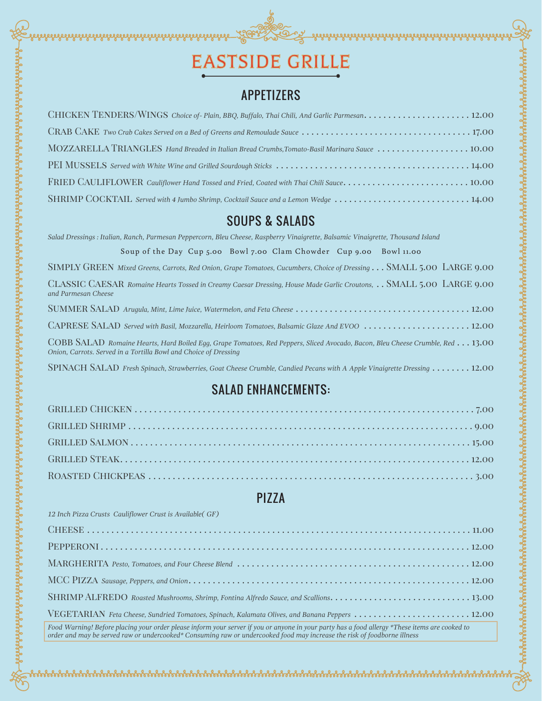

<u>SOON</u>

ง<br>รั้งสังชังสังชังสังชังสังชังสังชังสังชังสังชังสังชังสังชังสังชังสังชังสังชังสัง

#### APPETIZERS

| MOZZARELLA TRIANGLES Hand Breaded in Italian Bread Crumbs, Tomato-Basil Marinara Sauce  10.00 |
|-----------------------------------------------------------------------------------------------|
|                                                                                               |
|                                                                                               |
| SHRIMP COCKTAIL Served with 4 Jumbo Shrimp, Cocktail Sauce and a Lemon Wedge  14.00           |

#### SOUPS & SALADS

*Salad Dressings : Italian, Ranch, Parmesan Peppercorn, Bleu Cheese, Raspberry Vinaigrette, Balsamic Vinaigrette, Thousand Island*

Soup of the Day Cup 5.00 Bowl 7.00 Clam Chowder Cup 9.00 Bowl 11.00

| SIMPLY GREEN Mixed Greens, Carrots, Red Onion, Grape Tomatoes, Cucumbers, Choice of Dressing SMALL 5.00 LARGE 9.00                                                                                 |
|----------------------------------------------------------------------------------------------------------------------------------------------------------------------------------------------------|
| CLASSIC CAESAR Romaine Hearts Tossed in Creamy Caesar Dressing, House Made Garlic Croutons, SMALL 5.00 LARGE 9.00<br>and Parmesan Cheese                                                           |
|                                                                                                                                                                                                    |
| CAPRESE SALAD Served with Basil, Mozzarella, Heirloom Tomatoes, Balsamic Glaze And EVOO 12.00                                                                                                      |
| COBB SALAD Romaine Hearts, Hard Boiled Eqq, Grape Tomatoes, Red Peppers, Sliced Avocado, Bacon, Bleu Cheese Crumble, Red 13.00<br>Onion, Carrots. Served in a Tortilla Bowl and Choice of Dressing |
| SPINACH SALAD Fresh Spinach, Strawberries, Goat Cheese Crumble, Candied Pecans with A Apple Vinaigrette Dressing 12.00                                                                             |

# SALAD ENHANCEMENTS:

## PIZZA

*12 Inch Pizza Crusts Cauliflower Crust is Available( GF)*

Sababahan Sababahan Sababahan Sababahan Sababahan Sababahan Sababahan Sababahan Sababahan Sababahan Sababahan Sababahan Sababahan Sababahan Sababahan Sababahan Sababahan Sababahan Sababahan Sababahan Sababahan Sababahan Sa

| VEGETARIAN Feta Cheese, Sundried Tomatoes, Spinach, Kalamata Olives, and Banana Peppers 12.00                                                                                                                                                                              |
|----------------------------------------------------------------------------------------------------------------------------------------------------------------------------------------------------------------------------------------------------------------------------|
| Food Warning! Before placing your order please inform your server if you or anyone in your party has a food allergy *These items are cooked to<br>order and may be served raw or undercooked* Consuming raw or undercooked food may increase the risk of foodborne illness |